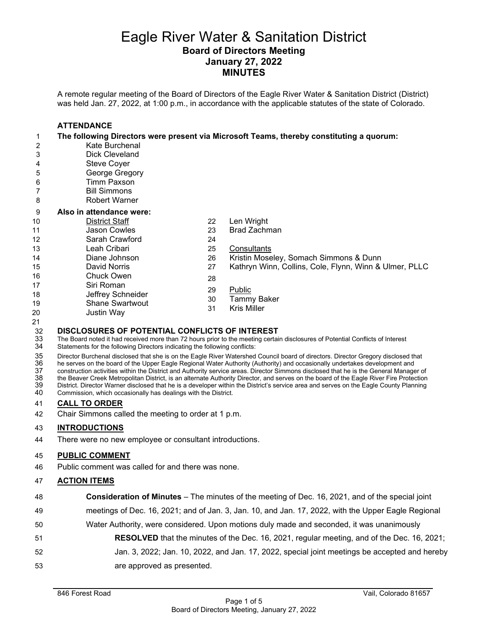## Eagle River Water & Sanitation District **Board of Directors Meeting January 27, 2022 MINUTES**

A remote regular meeting of the Board of Directors of the Eagle River Water & Sanitation District (District) was held Jan. 27, 2022, at 1:00 p.m., in accordance with the applicable statutes of the state of Colorado.

#### **ATTENDANCE The following Directors were present via Microsoft Teams, thereby constituting a quorum:** 2 Kate Burchenal<br>3 Dick Cleveland Dick Cleveland Steve Coyer George Gregory Timm Paxson Bill Simmons Robert Warner **Also in attendance were:** District Staff Jason Cowles Sarah Crawford Leah Cribari Diane Johnson David Norris Chuck Owen Siri Roman Jeffrey Schneider Shane Swartwout Justin Way Len Wright Brad Zachman Consultants Kristin Moseley, Somach Simmons & Dunn Kathryn Winn, Collins, Cole, Flynn, Winn & Ulmer, PLLC Public Tammy Baker Kris Miller

# **DISCLOSURES OF POTENTIAL CONFLICTS OF INTEREST**

33 The Board noted it had received more than 72 hours prior to the meeting certain disclosures of Potential Conflicts of Interest S4 Statements for the following Directors indicating the following conflicts:

Statements for the following Directors indicating the following conflicts:

35 Director Burchenal disclosed that she is on the Eagle River Watershed Council board of directors. Director Gregory disclosed that<br>36 he serves on the board of the Upper Eagle Regional Water Authority (Authority) and occ he serves on the board of the Upper Eagle Regional Water Authority (Authority) and occasionally undertakes development and 37 construction activities within the District and Authority service areas. Director Simmons disclosed that he is the General Manager of<br>38 the Beaver Creek Metropolitan District, is an alternate Authority Director, and se the Beaver Creek Metropolitan District, is an alternate Authority Director, and serves on the board of the Eagle River Fire Protection 39 District. Director Warner disclosed that he is a developer within the District's service area and serves on the Eagle County Planning<br>40 Commission, which occasionally has dealings with the District.

Commission, which occasionally has dealings with the District.

#### **CALL TO ORDER**

Chair Simmons called the meeting to order at 1 p.m.

#### **INTRODUCTIONS**

There were no new employee or consultant introductions.

#### **PUBLIC COMMENT**

Public comment was called for and there was none.

#### **ACTION ITEMS**

- **Consideration of Minutes**  The minutes of the meeting of Dec. 16, 2021, and of the special joint
- meetings of Dec. 16, 2021; and of Jan. 3, Jan. 10, and Jan. 17, 2022, with the Upper Eagle Regional
- Water Authority, were considered. Upon motions duly made and seconded, it was unanimously
- **RESOLVED** that the minutes of the Dec. 16, 2021, regular meeting, and of the Dec. 16, 2021;
- Jan. 3, 2022; Jan. 10, 2022, and Jan. 17, 2022, special joint meetings be accepted and hereby are approved as presented.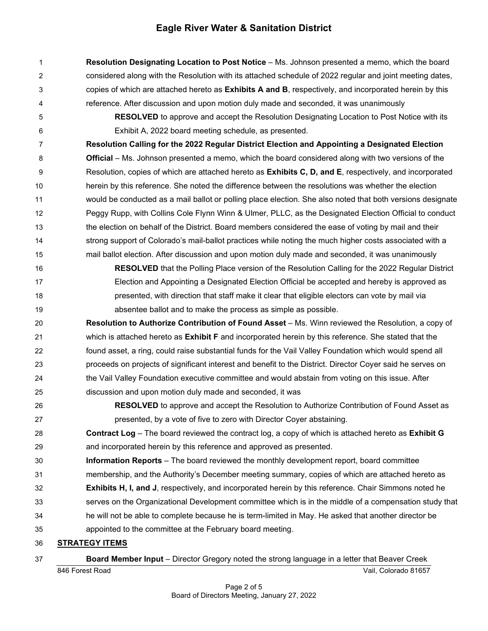**Resolution Designating Location to Post Notice** – Ms. Johnson presented a memo, which the board considered along with the Resolution with its attached schedule of 2022 regular and joint meeting dates, copies of which are attached hereto as **Exhibits A and B**, respectively, and incorporated herein by this reference. After discussion and upon motion duly made and seconded, it was unanimously

 **RESOLVED** to approve and accept the Resolution Designating Location to Post Notice with its Exhibit A, 2022 board meeting schedule, as presented.

 **Resolution Calling for the 2022 Regular District Election and Appointing a Designated Election Official** – Ms. Johnson presented a memo, which the board considered along with two versions of the Resolution, copies of which are attached hereto as **Exhibits C, D, and E**, respectively, and incorporated herein by this reference. She noted the difference between the resolutions was whether the election would be conducted as a mail ballot or polling place election. She also noted that both versions designate Peggy Rupp, with Collins Cole Flynn Winn & Ulmer, PLLC, as the Designated Election Official to conduct the election on behalf of the District. Board members considered the ease of voting by mail and their strong support of Colorado's mail-ballot practices while noting the much higher costs associated with a mail ballot election. After discussion and upon motion duly made and seconded, it was unanimously

 **RESOLVED** that the Polling Place version of the Resolution Calling for the 2022 Regular District Election and Appointing a Designated Election Official be accepted and hereby is approved as presented, with direction that staff make it clear that eligible electors can vote by mail via absentee ballot and to make the process as simple as possible.

 **Resolution to Authorize Contribution of Found Asset** – Ms. Winn reviewed the Resolution, a copy of which is attached hereto as **Exhibit F** and incorporated herein by this reference. She stated that the found asset, a ring, could raise substantial funds for the Vail Valley Foundation which would spend all proceeds on projects of significant interest and benefit to the District. Director Coyer said he serves on the Vail Valley Foundation executive committee and would abstain from voting on this issue. After discussion and upon motion duly made and seconded, it was

 **RESOLVED** to approve and accept the Resolution to Authorize Contribution of Found Asset as presented, by a vote of five to zero with Director Coyer abstaining.

 **Contract Log** – The board reviewed the contract log, a copy of which is attached hereto as **Exhibit G** and incorporated herein by this reference and approved as presented.

- **Information Reports**  The board reviewed the monthly development report, board committee
- membership, and the Authority's December meeting summary, copies of which are attached hereto as
- **Exhibits H, I, and J**, respectively, and incorporated herein by this reference. Chair Simmons noted he
- serves on the Organizational Development committee which is in the middle of a compensation study that

 he will not be able to complete because he is term-limited in May. He asked that another director be appointed to the committee at the February board meeting.

## **STRATEGY ITEMS**

## **Board Member Input** – Director Gregory noted the strong language in a letter that Beaver Creek

846 Forest Road Vail, Colorado 81657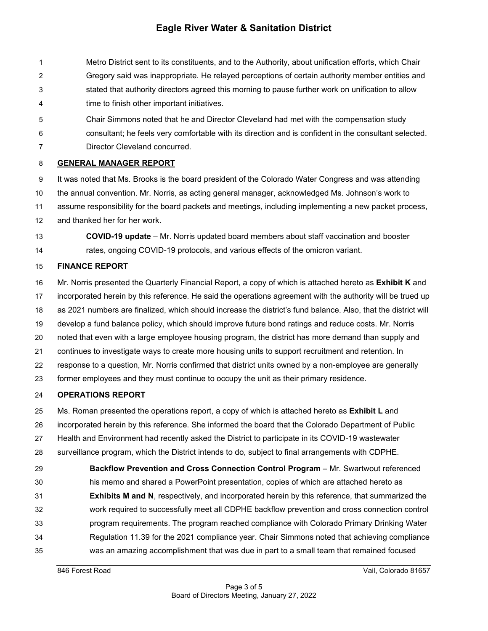Metro District sent to its constituents, and to the Authority, about unification efforts, which Chair Gregory said was inappropriate. He relayed perceptions of certain authority member entities and stated that authority directors agreed this morning to pause further work on unification to allow time to finish other important initiatives.

- Chair Simmons noted that he and Director Cleveland had met with the compensation study
- consultant; he feels very comfortable with its direction and is confident in the consultant selected.
- Director Cleveland concurred.

## **GENERAL MANAGER REPORT**

 It was noted that Ms. Brooks is the board president of the Colorado Water Congress and was attending the annual convention. Mr. Norris, as acting general manager, acknowledged Ms. Johnson's work to assume responsibility for the board packets and meetings, including implementing a new packet process, and thanked her for her work.

 **COVID-19 update** – Mr. Norris updated board members about staff vaccination and booster rates, ongoing COVID-19 protocols, and various effects of the omicron variant.

## **FINANCE REPORT**

 Mr. Norris presented the Quarterly Financial Report, a copy of which is attached hereto as **Exhibit K** and incorporated herein by this reference. He said the operations agreement with the authority will be trued up as 2021 numbers are finalized, which should increase the district's fund balance. Also, that the district will develop a fund balance policy, which should improve future bond ratings and reduce costs. Mr. Norris noted that even with a large employee housing program, the district has more demand than supply and continues to investigate ways to create more housing units to support recruitment and retention. In response to a question, Mr. Norris confirmed that district units owned by a non-employee are generally former employees and they must continue to occupy the unit as their primary residence.

## **OPERATIONS REPORT**

Ms. Roman presented the operations report, a copy of which is attached hereto as **Exhibit L** and

- incorporated herein by this reference. She informed the board that the Colorado Department of Public
- Health and Environment had recently asked the District to participate in its COVID-19 wastewater
- surveillance program, which the District intends to do, subject to final arrangements with CDPHE.

 **Backflow Prevention and Cross Connection Control Program** – Mr. Swartwout referenced his memo and shared a PowerPoint presentation, copies of which are attached hereto as **Exhibits M and N**, respectively, and incorporated herein by this reference, that summarized the work required to successfully meet all CDPHE backflow prevention and cross connection control program requirements. The program reached compliance with Colorado Primary Drinking Water Regulation 11.39 for the 2021 compliance year. Chair Simmons noted that achieving compliance was an amazing accomplishment that was due in part to a small team that remained focused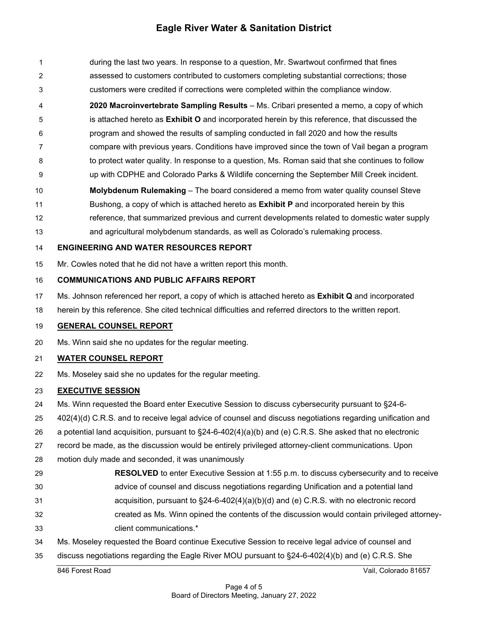during the last two years. In response to a question, Mr. Swartwout confirmed that fines assessed to customers contributed to customers completing substantial corrections; those customers were credited if corrections were completed within the compliance window. **2020 Macroinvertebrate Sampling Results** – Ms. Cribari presented a memo, a copy of which

- is attached hereto as **Exhibit O** and incorporated herein by this reference, that discussed the program and showed the results of sampling conducted in fall 2020 and how the results compare with previous years. Conditions have improved since the town of Vail began a program to protect water quality. In response to a question, Ms. Roman said that she continues to follow
- up with CDPHE and Colorado Parks & Wildlife concerning the September Mill Creek incident.
- **Molybdenum Rulemaking** The board considered a memo from water quality counsel Steve Bushong, a copy of which is attached hereto as **Exhibit P** and incorporated herein by this
- reference, that summarized previous and current developments related to domestic water supply and agricultural molybdenum standards, as well as Colorado's rulemaking process.

## **ENGINEERING AND WATER RESOURCES REPORT**

Mr. Cowles noted that he did not have a written report this month.

## **COMMUNICATIONS AND PUBLIC AFFAIRS REPORT**

- Ms. Johnson referenced her report, a copy of which is attached hereto as **Exhibit Q** and incorporated
- herein by this reference. She cited technical difficulties and referred directors to the written report.

## **GENERAL COUNSEL REPORT**

Ms. Winn said she no updates for the regular meeting.

## **WATER COUNSEL REPORT**

Ms. Moseley said she no updates for the regular meeting.

## **EXECUTIVE SESSION**

- Ms. Winn requested the Board enter Executive Session to discuss cybersecurity pursuant to §24-6-
- 402(4)(d) C.R.S. and to receive legal advice of counsel and discuss negotiations regarding unification and
- a potential land acquisition, pursuant to §24-6-402(4)(a)(b) and (e) C.R.S. She asked that no electronic
- record be made, as the discussion would be entirely privileged attorney-client communications. Upon
- motion duly made and seconded, it was unanimously
- **RESOLVED** to enter Executive Session at 1:55 p.m. to discuss cybersecurity and to receive
- advice of counsel and discuss negotiations regarding Unification and a potential land
- acquisition, pursuant to §24-6-402(4)(a)(b)(d) and (e) C.R.S. with no electronic record
- created as Ms. Winn opined the contents of the discussion would contain privileged attorney-
- client communications.\*
- Ms. Moseley requested the Board continue Executive Session to receive legal advice of counsel and
- discuss negotiations regarding the Eagle River MOU pursuant to §24-6-402(4)(b) and (e) C.R.S. She